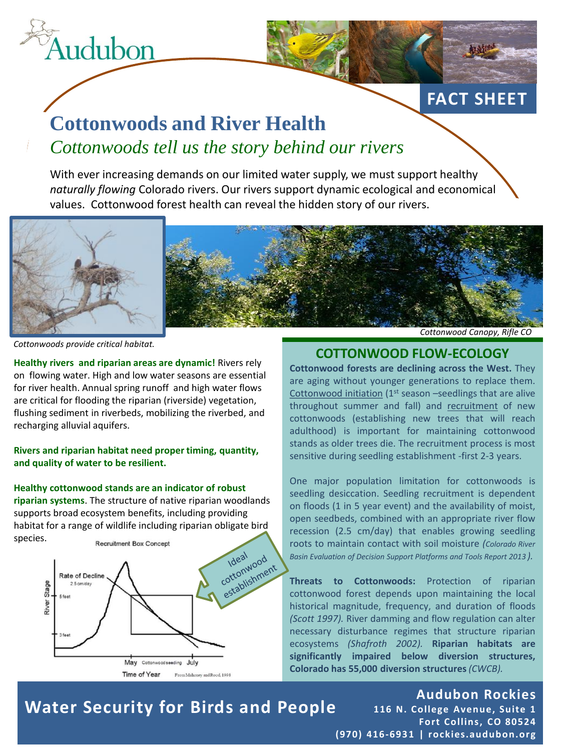

# **Cottonwoods and River Health** *Cottonwoods tell us the story behind our rivers*

With ever increasing demands on our limited water supply, we must support healthy *naturally flowing* Colorado rivers. Our rivers support dynamic ecological and economical values. Cottonwood forest health can reveal the hidden story of our rivers.



*Cottonwoods provide critical habitat.* 

**Healthy rivers and riparian areas are dynamic!** Rivers rely on flowing water. High and low water seasons are essential for river health. Annual spring runoff and high water flows are critical for flooding the riparian (riverside) vegetation, flushing sediment in riverbeds, mobilizing the riverbed, and recharging alluvial aquifers.

**Rivers and riparian habitat need proper timing, quantity, and quality of water to be resilient.** 

#### **Healthy cottonwood stands are an indicator of robust**

**riparian systems**. The structure of native riparian woodlands supports broad ecosystem benefits, including providing habitat for a range of wildlife including riparian obligate bird species.



### **COTTONWOOD FLOW-ECOLOGY**

**FACT SHEET**

**Cottonwood forests are declining across the West.** They are aging without younger generations to replace them. Cottonwood initiation (1<sup>st</sup> season -seedlings that are alive throughout summer and fall) and recruitment of new cottonwoods (establishing new trees that will reach adulthood) is important for maintaining cottonwood stands as older trees die. The recruitment process is most sensitive during seedling establishment -first 2-3 years.

One major population limitation for cottonwoods is seedling desiccation. Seedling recruitment is dependent on floods (1 in 5 year event) and the availability of moist, open seedbeds, combined with an appropriate river flow recession (2.5 cm/day) that enables growing seedling roots to maintain contact with soil moisture *(Colorado River Basin Evaluation of Decision Support Platforms and Tools Report 2013 ).*

**Threats to Cottonwoods:** Protection of riparian cottonwood forest depends upon maintaining the local historical magnitude, frequency, and duration of floods *(Scott 1997).* River damming and flow regulation can alter necessary disturbance regimes that structure riparian ecosystems *(Shafroth 2002).* **Riparian habitats are significantly impaired below diversion structures, Colorado has 55,000 diversion structures***(CWCB).*

### **Water Security for Birds and People**

#### **Audubon Rockies 116 N. College Avenue, Suite 1 Fort Collins, CO 80524**

**(970) 416-693 1 | rockies.audubon.org**